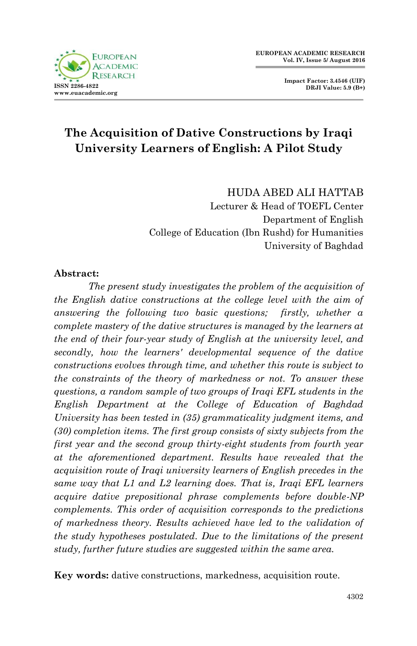



# **The Acquisition of Dative Constructions by Iraqi University Learners of English: A Pilot Study**

HUDA ABED ALI HATTAB Lecturer & Head of TOEFL Center Department of English College of Education (Ibn Rushd) for Humanities University of Baghdad

#### **Abstract:**

*The present study investigates the problem of the acquisition of the English dative constructions at the college level with the aim of answering the following two basic questions; firstly, whether a complete mastery of the dative structures is managed by the learners at the end of their four-year study of English at the university level, and secondly, how the learners' developmental sequence of the dative constructions evolves through time, and whether this route is subject to the constraints of the theory of markedness or not. To answer these questions, a random sample of two groups of Iraqi EFL students in the English Department at the College of Education of Baghdad University has been tested in (35) grammaticality judgment items, and (30) completion items. The first group consists of sixty subjects from the first year and the second group thirty-eight students from fourth year at the aforementioned department. Results have revealed that the acquisition route of Iraqi university learners of English precedes in the same way that L1 and L2 learning does. That is, Iraqi EFL learners acquire dative prepositional phrase complements before double-NP complements. This order of acquisition corresponds to the predictions of markedness theory. Results achieved have led to the validation of the study hypotheses postulated. Due to the limitations of the present study, further future studies are suggested within the same area.*

**Key words:** dative constructions, markedness, acquisition route.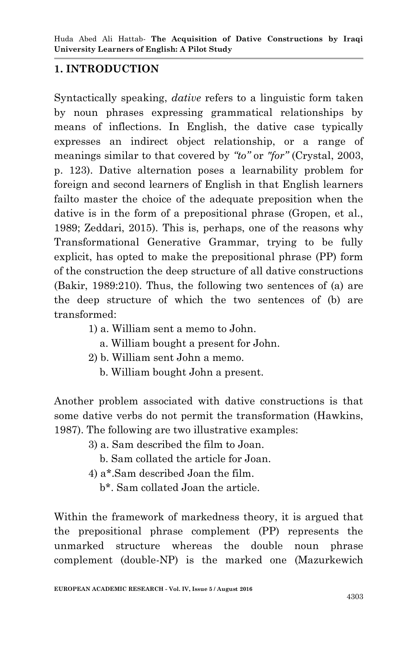# **1. INTRODUCTION**

Syntactically speaking, *dative* refers to a linguistic form taken by noun phrases expressing grammatical relationships by means of inflections. In English, the dative case typically expresses an indirect object relationship, or a range of meanings similar to that covered by *"to"* or *"for"* (Crystal, 2003, p. 123). Dative alternation poses a learnability problem for foreign and second learners of English in that English learners failto master the choice of the adequate preposition when the dative is in the form of a prepositional phrase (Gropen, et al., 1989; Zeddari, 2015). This is, perhaps, one of the reasons why Transformational Generative Grammar, trying to be fully explicit, has opted to make the prepositional phrase (PP) form of the construction the deep structure of all dative constructions (Bakir, 1989:210). Thus, the following two sentences of (a) are the deep structure of which the two sentences of (b) are transformed:

- 1) a. William sent a memo to John.
	- a. William bought a present for John.
- 2) b. William sent John a memo.
	- b. William bought John a present.

Another problem associated with dative constructions is that some dative verbs do not permit the transformation (Hawkins, 1987). The following are two illustrative examples:

- 3) a. Sam described the film to Joan.
	- b. Sam collated the article for Joan.
- 4) a\*.Sam described Joan the film.
	- b\*. Sam collated Joan the article.

Within the framework of markedness theory, it is argued that the prepositional phrase complement (PP) represents the unmarked structure whereas the double noun phrase complement (double-NP) is the marked one (Mazurkewich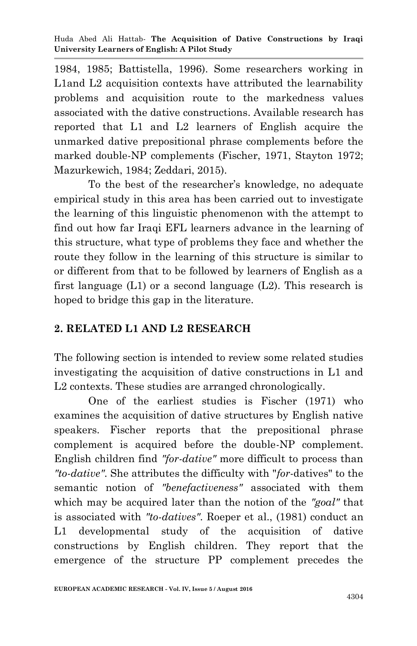1984, 1985; Battistella, 1996). Some researchers working in L1and L2 acquisition contexts have attributed the learnability problems and acquisition route to the markedness values associated with the dative constructions. Available research has reported that L1 and L2 learners of English acquire the unmarked dative prepositional phrase complements before the marked double-NP complements (Fischer, 1971, Stayton 1972; Mazurkewich, 1984; Zeddari, 2015).

To the best of the researcher's knowledge, no adequate empirical study in this area has been carried out to investigate the learning of this linguistic phenomenon with the attempt to find out how far Iraqi EFL learners advance in the learning of this structure, what type of problems they face and whether the route they follow in the learning of this structure is similar to or different from that to be followed by learners of English as a first language (L1) or a second language (L2). This research is hoped to bridge this gap in the literature.

## **2. RELATED L1 AND L2 RESEARCH**

The following section is intended to review some related studies investigating the acquisition of dative constructions in L1 and L2 contexts. These studies are arranged chronologically.

One of the earliest studies is Fischer (1971) who examines the acquisition of dative structures by English native speakers. Fischer reports that the prepositional phrase complement is acquired before the double-NP complement. English children find *"for-dative"* more difficult to process than *"to-dative"*. She attributes the difficulty with "*for*-datives" to the semantic notion of *"benefactiveness"* associated with them which may be acquired later than the notion of the *"goal"* that is associated with *"to-datives"*. Roeper et al., (1981) conduct an L1 developmental study of the acquisition of dative constructions by English children. They report that the emergence of the structure PP complement precedes the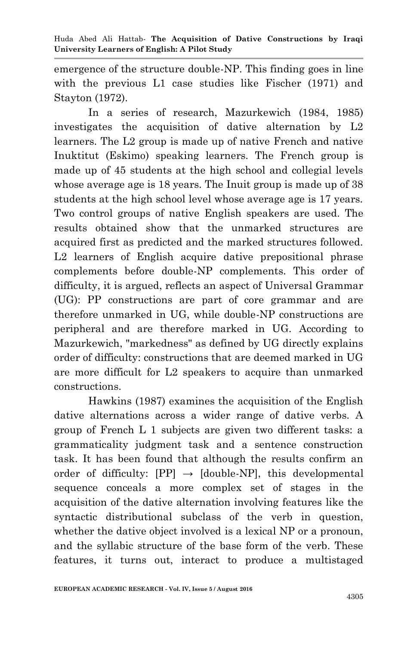emergence of the structure double-NP. This finding goes in line with the previous L1 case studies like Fischer (1971) and Stayton (1972).

In a series of research, Mazurkewich (1984, 1985) investigates the acquisition of dative alternation by L2 learners. The L2 group is made up of native French and native Inuktitut (Eskimo) speaking learners. The French group is made up of 45 students at the high school and collegial levels whose average age is 18 years. The Inuit group is made up of 38 students at the high school level whose average age is 17 years. Two control groups of native English speakers are used. The results obtained show that the unmarked structures are acquired first as predicted and the marked structures followed. L2 learners of English acquire dative prepositional phrase complements before double-NP complements. This order of difficulty, it is argued, reflects an aspect of Universal Grammar (UG): PP constructions are part of core grammar and are therefore unmarked in UG, while double-NP constructions are peripheral and are therefore marked in UG. According to Mazurkewich, "markedness" as defined by UG directly explains order of difficulty: constructions that are deemed marked in UG are more difficult for L2 speakers to acquire than unmarked constructions.

Hawkins (1987) examines the acquisition of the English dative alternations across a wider range of dative verbs. A group of French L 1 subjects are given two different tasks: a grammaticality judgment task and a sentence construction task. It has been found that although the results confirm an order of difficulty:  $[PP] \rightarrow [\text{double-NP}]$ , this developmental sequence conceals a more complex set of stages in the acquisition of the dative alternation involving features like the syntactic distributional subclass of the verb in question, whether the dative object involved is a lexical NP or a pronoun, and the syllabic structure of the base form of the verb. These features, it turns out, interact to produce a multistaged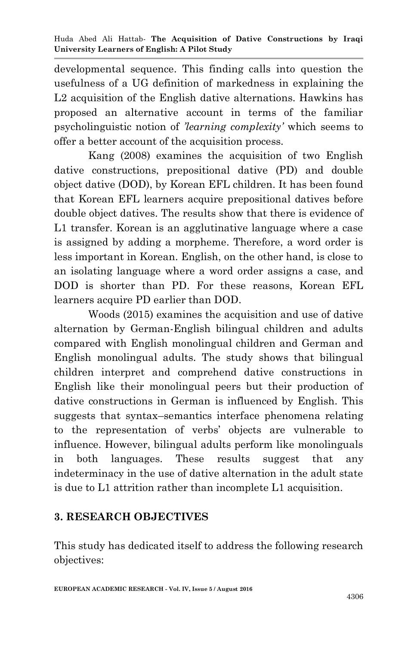developmental sequence. This finding calls into question the usefulness of a UG definition of markedness in explaining the L2 acquisition of the English dative alternations. Hawkins has proposed an alternative account in terms of the familiar psycholinguistic notion of *'learning complexity'* which seems to offer a better account of the acquisition process.

Kang (2008) examines the acquisition of two English dative constructions, prepositional dative (PD) and double object dative (DOD), by Korean EFL children. It has been found that Korean EFL learners acquire prepositional datives before double object datives. The results show that there is evidence of L1 transfer. Korean is an agglutinative language where a case is assigned by adding a morpheme. Therefore, a word order is less important in Korean. English, on the other hand, is close to an isolating language where a word order assigns a case, and DOD is shorter than PD. For these reasons, Korean EFL learners acquire PD earlier than DOD.

Woods (2015) examines the acquisition and use of dative alternation by German-English bilingual children and adults compared with English monolingual children and German and English monolingual adults. The study shows that bilingual children interpret and comprehend dative constructions in English like their monolingual peers but their production of dative constructions in German is influenced by English. This suggests that syntax–semantics interface phenomena relating to the representation of verbs' objects are vulnerable to influence. However, bilingual adults perform like monolinguals in both languages. These results suggest that any indeterminacy in the use of dative alternation in the adult state is due to L1 attrition rather than incomplete L1 acquisition.

## **3. RESEARCH OBJECTIVES**

This study has dedicated itself to address the following research objectives: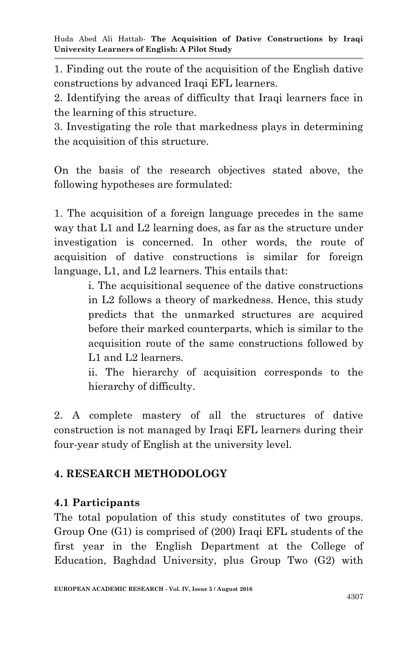1. Finding out the route of the acquisition of the English dative constructions by advanced Iraqi EFL learners.

2. Identifying the areas of difficulty that Iraqi learners face in the learning of this structure.

3. Investigating the role that markedness plays in determining the acquisition of this structure.

On the basis of the research objectives stated above, the following hypotheses are formulated:

1. The acquisition of a foreign language precedes in the same way that L1 and L2 learning does, as far as the structure under investigation is concerned. In other words, the route of acquisition of dative constructions is similar for foreign language, L1, and L2 learners. This entails that:

> i. The acquisitional sequence of the dative constructions in L2 follows a theory of markedness. Hence, this study predicts that the unmarked structures are acquired before their marked counterparts, which is similar to the acquisition route of the same constructions followed by L<sub>1</sub> and L<sub>2</sub> learners.

> ii. The hierarchy of acquisition corresponds to the hierarchy of difficulty.

2. A complete mastery of all the structures of dative construction is not managed by Iraqi EFL learners during their four-year study of English at the university level.

## **4. RESEARCH METHODOLOGY**

## **4.1 Participants**

The total population of this study constitutes of two groups. Group One (G1) is comprised of (200) Iraqi EFL students of the first year in the English Department at the College of Education, Baghdad University, plus Group Two (G2) with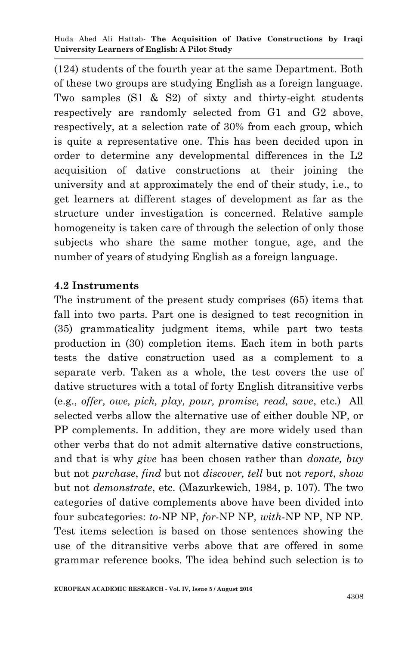(124) students of the fourth year at the same Department. Both of these two groups are studying English as a foreign language. Two samples (S1 & S2) of sixty and thirty-eight students respectively are randomly selected from G1 and G2 above, respectively, at a selection rate of 30% from each group, which is quite a representative one. This has been decided upon in order to determine any developmental differences in the L2 acquisition of dative constructions at their joining the university and at approximately the end of their study, i.e., to get learners at different stages of development as far as the structure under investigation is concerned. Relative sample homogeneity is taken care of through the selection of only those subjects who share the same mother tongue, age, and the number of years of studying English as a foreign language.

#### **4.2 Instruments**

The instrument of the present study comprises (65) items that fall into two parts. Part one is designed to test recognition in (35) grammaticality judgment items, while part two tests production in (30) completion items. Each item in both parts tests the dative construction used as a complement to a separate verb. Taken as a whole, the test covers the use of dative structures with a total of forty English ditransitive verbs (e.g., *offer, owe, pick, play, pour, promise, read, save*, etc.) All selected verbs allow the alternative use of either double NP, or PP complements. In addition, they are more widely used than other verbs that do not admit alternative dative constructions, and that is why *give* has been chosen rather than *donate, buy*  but not *purchase*, *find* but not *discover, tell* but not *report*, *show*  but not *demonstrate*, etc. (Mazurkewich, 1984, p. 107). The two categories of dative complements above have been divided into four subcategories: *to*-NP NP, *for*-NP NP*, with*-NP NP, NP NP. Test items selection is based on those sentences showing the use of the ditransitive verbs above that are offered in some grammar reference books. The idea behind such selection is to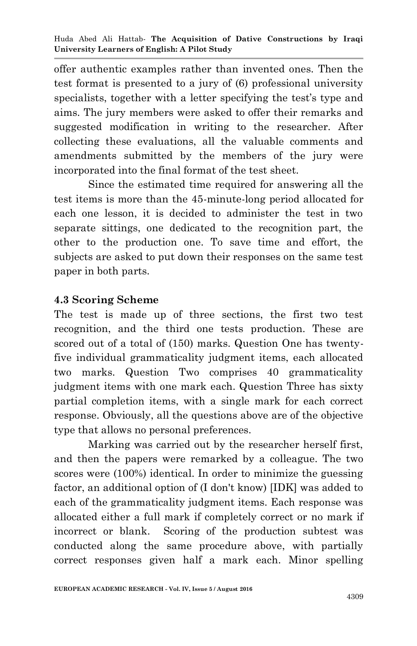offer authentic examples rather than invented ones. Then the test format is presented to a jury of (6) professional university specialists, together with a letter specifying the test's type and aims. The jury members were asked to offer their remarks and suggested modification in writing to the researcher. After collecting these evaluations, all the valuable comments and amendments submitted by the members of the jury were incorporated into the final format of the test sheet.

Since the estimated time required for answering all the test items is more than the 45-minute-long period allocated for each one lesson, it is decided to administer the test in two separate sittings, one dedicated to the recognition part, the other to the production one. To save time and effort, the subjects are asked to put down their responses on the same test paper in both parts.

#### **4.3 Scoring Scheme**

The test is made up of three sections, the first two test recognition, and the third one tests production. These are scored out of a total of (150) marks. Question One has twentyfive individual grammaticality judgment items, each allocated two marks. Question Two comprises 40 grammaticality judgment items with one mark each. Question Three has sixty partial completion items, with a single mark for each correct response. Obviously, all the questions above are of the objective type that allows no personal preferences.

Marking was carried out by the researcher herself first, and then the papers were remarked by a colleague. The two scores were (100%) identical. In order to minimize the guessing factor, an additional option of (I don't know) [IDK] was added to each of the grammaticality judgment items. Each response was allocated either a full mark if completely correct or no mark if incorrect or blank. Scoring of the production subtest was conducted along the same procedure above, with partially correct responses given half a mark each. Minor spelling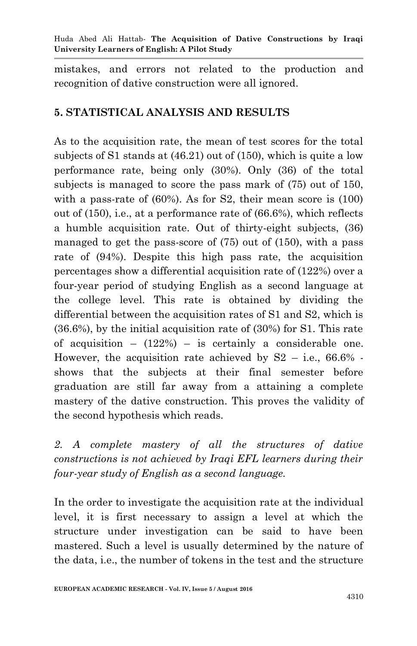mistakes, and errors not related to the production and recognition of dative construction were all ignored.

# **5. STATISTICAL ANALYSIS AND RESULTS**

As to the acquisition rate, the mean of test scores for the total subjects of S1 stands at (46.21) out of (150), which is quite a low performance rate, being only (30%). Only (36) of the total subjects is managed to score the pass mark of (75) out of 150, with a pass-rate of (60%). As for S2, their mean score is (100) out of (150), i.e., at a performance rate of (66.6%), which reflects a humble acquisition rate. Out of thirty-eight subjects, (36) managed to get the pass-score of (75) out of (150), with a pass rate of (94%). Despite this high pass rate, the acquisition percentages show a differential acquisition rate of (122%) over a four-year period of studying English as a second language at the college level. This rate is obtained by dividing the differential between the acquisition rates of S1 and S2, which is (36.6%), by the initial acquisition rate of (30%) for S1. This rate of acquisition  $-$  (122%) – is certainly a considerable one. However, the acquisition rate achieved by  $S2 - i.e., 66.6\%$ . shows that the subjects at their final semester before graduation are still far away from a attaining a complete mastery of the dative construction. This proves the validity of the second hypothesis which reads.

2. A complete mastery of all the structures of dative *constructions is not achieved by Iraqi EFL learners during their four-year study of English as a second language.*

In the order to investigate the acquisition rate at the individual level, it is first necessary to assign a level at which the structure under investigation can be said to have been mastered. Such a level is usually determined by the nature of the data, i.e., the number of tokens in the test and the structure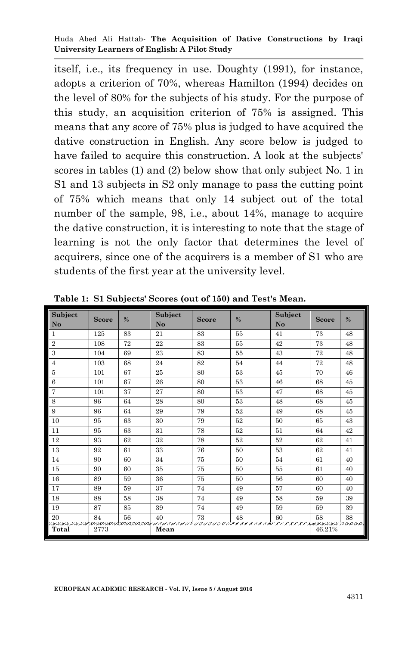itself, i.e., its frequency in use. Doughty (1991), for instance, adopts a criterion of 70%, whereas Hamilton (1994) decides on the level of 80% for the subjects of his study. For the purpose of this study, an acquisition criterion of 75% is assigned. This means that any score of 75% plus is judged to have acquired the dative construction in English. Any score below is judged to have failed to acquire this construction. A look at the subjects' scores in tables (1) and (2) below show that only subject No. 1 in S1 and 13 subjects in S2 only manage to pass the cutting point of 75% which means that only 14 subject out of the total number of the sample, 98, i.e., about 14%, manage to acquire the dative construction, it is interesting to note that the stage of learning is not the only factor that determines the level of acquirers, since one of the acquirers is a member of S1 who are students of the first year at the university level.

| Subject<br>No              | <b>Score</b> | $\frac{0}{0}$ | Subject<br>No | <b>Score</b> | $\%$ | Subject<br>No | <b>Score</b> | $\%$ |
|----------------------------|--------------|---------------|---------------|--------------|------|---------------|--------------|------|
| $\mathbf{1}$               | 125          | 83            | 21            | 83           | 55   | 41            | 73           | 48   |
| $\overline{2}$             | 108          | 72            | 22            | 83           | 55   | 42            | 73           | 48   |
| 3                          | 104          | 69            | 23            | 83           | 55   | 43            | 72           | 48   |
| $\overline{4}$             | 103          | 68            | 24            | 82           | 54   | 44            | 72           | 48   |
| 5                          | 101          | 67            | 25            | 80           | 53   | 45            | 70           | 46   |
| 6                          | 101          | 67            | 26            | 80           | 53   | 46            | 68           | 45   |
| 7                          | 101          | 37            | 27            | 80           | 53   | 47            | 68           | 45   |
| 8                          | 96           | 64            | 28            | 80           | 53   | 48            | 68           | 45   |
| 9                          | 96           | 64            | 29            | 79           | 52   | 49            | 68           | 45   |
| 10                         | 95           | 63            | 30            | 79           | 52   | 50            | 65           | 43   |
| 11                         | 95           | 63            | 31            | 78           | 52   | 51            | 64           | 42   |
| 12                         | 93           | 62            | 32            | 78           | 52   | 52            | 62           | 41   |
| 13                         | 92           | 61            | 33            | 76           | 50   | 53            | 62           | 41   |
| 14                         | 90           | 60            | 34            | 75           | 50   | 54            | 61           | 40   |
| 15                         | 90           | 60            | 35            | 75           | 50   | 55            | 61           | 40   |
| 16                         | 89           | 59            | 36            | 75           | 50   | 56            | 60           | 40   |
| 17                         | 89           | 59            | 37            | 74           | 49   | 57            | 60           | 40   |
| 18                         | 88           | 58            | 38            | 74           | 49   | 58            | 59           | 39   |
| 19                         | 87           | 85            | 39            | 74           | 49   | 59            | 59           | 39   |
| 20                         | 84           | 56            | 40            | 73           | 48   | 60            | 58           | 38   |
| ちぶしゃしゃしゃしゃしゃしゃしゃし<br>Total | 2773         |               | Mean          |              |      |               | 46.21%       |      |

**Table 1: S1 Subjects' Scores (out of 150) and Test's Mean.**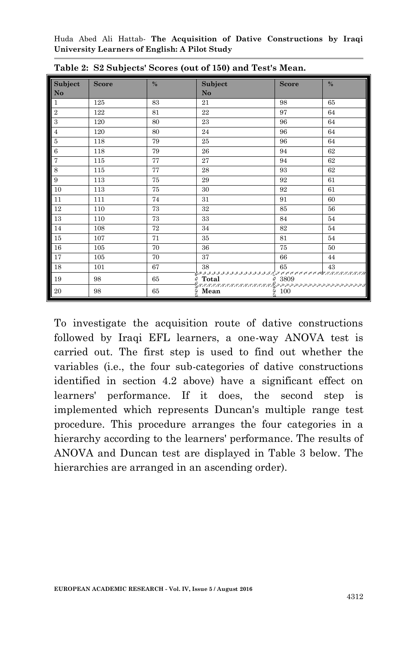| Subject<br>No  | <b>Score</b> | $\frac{0}{2}$ | Subject<br>N <sub>o</sub>                                           | <b>Score</b>      | $\frac{0}{0}$ |
|----------------|--------------|---------------|---------------------------------------------------------------------|-------------------|---------------|
| $\mathbf{1}$   | 125          | 83            | 21                                                                  | 98                | 65            |
| $\overline{2}$ | 122          | 81            | 22                                                                  | 97                | 64            |
| $\,3$          | 120          | 80            | 23                                                                  | 96                | 64            |
| $\overline{4}$ | 120          | 80            | 24                                                                  | 96                | 64            |
| $\overline{5}$ | 118          | 79            | 25                                                                  | 96                | 64            |
| $\,6$          | 118          | 79            | 26                                                                  | 94                | 62            |
| $\overline{7}$ | 115          | 77            | 27                                                                  | 94                | 62            |
| 8              | 115          | 77            | 28                                                                  | 93                | 62            |
| 9              | 113          | 75            | 29                                                                  | 92                | 61            |
| 10             | 113          | 75            | 30                                                                  | 92                | 61            |
| 11             | 111          | 74            | 31                                                                  | 91                | 60            |
| 12             | 110          | 73            | $32\,$                                                              | 85                | 56            |
| 13             | 110          | 73            | 33                                                                  | 84                | 54            |
| 14             | 108          | 72            | 34                                                                  | 82                | 54            |
| 15             | 107          | 71            | 35                                                                  | 81                | 54            |
| 16             | 105          | 70            | 36                                                                  | 75                | 50            |
| 17             | 105          | 70            | 37                                                                  | 66                | 44            |
| 18             | 101          | 67            | 38                                                                  | 65                | 43            |
| 19             | 98           | 65            | GRAFIA ARABA ARABA ARABA ARABA A MEMENYOR MEMENY MANASAN'ILAY ARABA |                   |               |
| 20             | 98           | 65            | $\frac{2}{3}$ Mean                                                  | $\frac{2}{2}$ 100 |               |

**Table 2: S2 Subjects' Scores (out of 150) and Test's Mean.** 

To investigate the acquisition route of dative constructions followed by Iraqi EFL learners, a one-way ANOVA test is carried out. The first step is used to find out whether the variables (i.e., the four sub-categories of dative constructions identified in section 4.2 above) have a significant effect on learners' performance. If it does, the second step is implemented which represents Duncan's multiple range test procedure. This procedure arranges the four categories in a hierarchy according to the learners' performance. The results of ANOVA and Duncan test are displayed in Table 3 below. The hierarchies are arranged in an ascending order).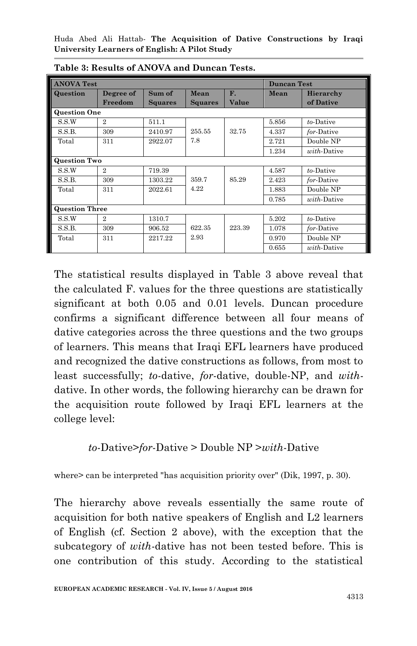| <b>ANOVA Test</b>     |                |                |                |        | <b>Duncan Test</b> |                     |  |
|-----------------------|----------------|----------------|----------------|--------|--------------------|---------------------|--|
| Question              | Degree of      | Sum of         | Mean           | F.     | Mean               | Hierarchy           |  |
|                       | Freedom        | <b>Squares</b> | <b>Squares</b> | Value  |                    | of Dative           |  |
| <b>Question One</b>   |                |                |                |        |                    |                     |  |
| S.S.W                 | $\overline{2}$ | 511.1          |                |        | 5.856              | to-Dative           |  |
| S.S.B.                | 309            | 2410.97        | 255.55         | 32.75  | 4.337              | for-Dative          |  |
| Total                 | 311            | 2922.07        | 7.8            |        | 2.721              | Double NP           |  |
|                       |                |                |                |        | 1.234              | with-Dative         |  |
| <b>Question Two</b>   |                |                |                |        |                    |                     |  |
| S.S.W                 | $\overline{2}$ | 719.39         |                |        | 4.587              | to-Dative           |  |
| S.S.B.                | 309            | 1303.22        | 359.7          | 85.29  | 2.423              | for-Dative          |  |
| Total                 | 311            | 2022.61        | 4.22           |        | 1.883              | Double NP           |  |
|                       |                |                |                |        | 0.785              | <i>with</i> -Dative |  |
| <b>Question Three</b> |                |                |                |        |                    |                     |  |
| S.S.W                 | $\overline{2}$ | 1310.7         |                |        | 5.202              | to-Dative           |  |
| S.S.B.                | 309            | 906.52         | 622.35         | 223.39 | 1.078              | for-Dative          |  |
| Total                 | 311            | 2217.22        | 2.93           |        | 0.970              | Double NP           |  |
|                       |                |                |                |        | 0.655              | with-Dative         |  |

**Table 3: Results of ANOVA and Duncan Tests.** 

The statistical results displayed in Table 3 above reveal that the calculated F. values for the three questions are statistically significant at both 0.05 and 0.01 levels. Duncan procedure confirms a significant difference between all four means of dative categories across the three questions and the two groups of learners. This means that Iraqi EFL learners have produced and recognized the dative constructions as follows, from most to least successfully; *to*-dative, *for*-dative, double-NP, and *with*dative. In other words, the following hierarchy can be drawn for the acquisition route followed by Iraqi EFL learners at the college level:

#### *to*-Dative>*for*-Dative > Double NP >*with*-Dative

where > can be interpreted "has acquisition priority over" (Dik, 1997, p. 30).

The hierarchy above reveals essentially the same route of acquisition for both native speakers of English and L2 learners of English (cf. Section 2 above), with the exception that the subcategory of *with*-dative has not been tested before. This is one contribution of this study. According to the statistical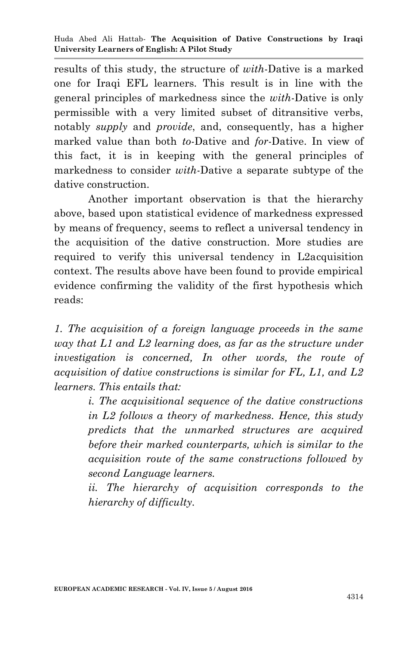results of this study, the structure of *with*-Dative is a marked one for Iraqi EFL learners. This result is in line with the general principles of markedness since the *with*-Dative is only permissible with a very limited subset of ditransitive verbs, notably *supply* and *provide*, and, consequently, has a higher marked value than both *to*-Dative and *for*-Dative. In view of this fact, it is in keeping with the general principles of markedness to consider *with*-Dative a separate subtype of the dative construction.

Another important observation is that the hierarchy above, based upon statistical evidence of markedness expressed by means of frequency, seems to reflect a universal tendency in the acquisition of the dative construction. More studies are required to verify this universal tendency in L2acquisition context. The results above have been found to provide empirical evidence confirming the validity of the first hypothesis which reads:

*1. The acquisition of a foreign language proceeds in the same way that L1 and L2 learning does, as far as the structure under investigation is concerned, In other words, the route of acquisition of dative constructions is similar for FL, L1, and L2 learners. This entails that:* 

> *i. The acquisitional sequence of the dative constructions in L2 follows a theory of markedness. Hence, this study predicts that the unmarked structures are acquired before their marked counterparts, which is similar to the acquisition route of the same constructions followed by second Language learners.*

> *ii. The hierarchy of acquisition corresponds to the hierarchy of difficulty.*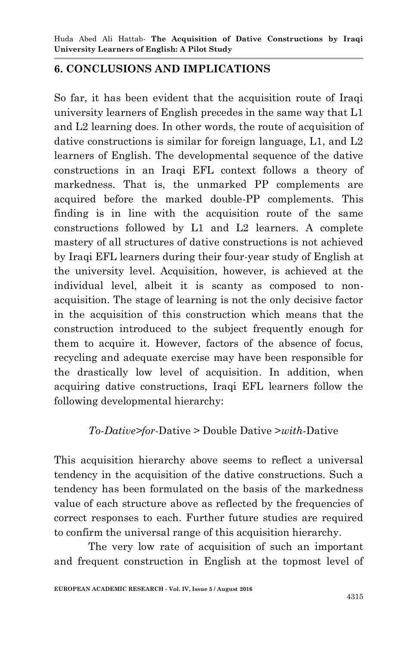#### **6. CONCLUSIONS AND IMPLICATIONS**

So far, it has been evident that the acquisition route of Iraqi university learners of English precedes in the same way that L1 and L2 learning does. In other words, the route of acquisition of dative constructions is similar for foreign language, L1, and L2 learners of English. The developmental sequence of the dative constructions in an Iraqi EFL context follows a theory of markedness. That is, the unmarked PP complements are acquired before the marked double-PP complements. This finding is in line with the acquisition route of the same constructions followed by L1 and L2 learners. A complete mastery of all structures of dative constructions is not achieved by Iraqi EFL learners during their four-year study of English at the university level. Acquisition, however, is achieved at the individual level, albeit it is scanty as composed to nonacquisition. The stage of learning is not the only decisive factor in the acquisition of this construction which means that the construction introduced to the subject frequently enough for them to acquire it. However, factors of the absence of focus, recycling and adequate exercise may have been responsible for the drastically low level of acquisition. In addition, when acquiring dative constructions, Iraqi EFL learners follow the following developmental hierarchy:

#### *To-Dative>for*-Dative > Double Dative >*with*-Dative

This acquisition hierarchy above seems to reflect a universal tendency in the acquisition of the dative constructions. Such a tendency has been formulated on the basis of the markedness value of each structure above as reflected by the frequencies of correct responses to each. Further future studies are required to confirm the universal range of this acquisition hierarchy.

 The very low rate of acquisition of such an important and frequent construction in English at the topmost level of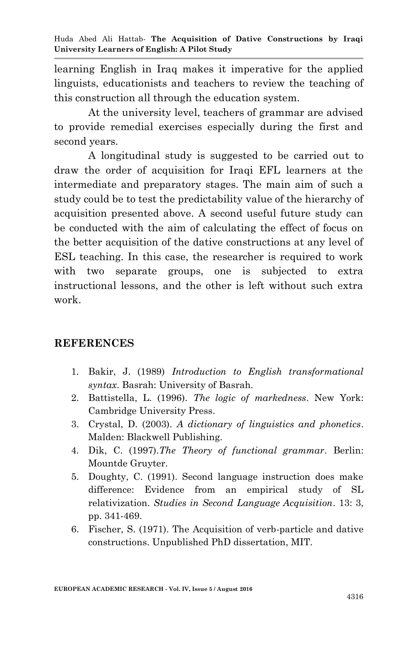learning English in Iraq makes it imperative for the applied linguists, educationists and teachers to review the teaching of this construction all through the education system.

At the university level, teachers of grammar are advised to provide remedial exercises especially during the first and second years.

A longitudinal study is suggested to be carried out to draw the order of acquisition for Iraqi EFL learners at the intermediate and preparatory stages. The main aim of such a study could be to test the predictability value of the hierarchy of acquisition presented above. A second useful future study can be conducted with the aim of calculating the effect of focus on the better acquisition of the dative constructions at any level of ESL teaching. In this case, the researcher is required to work with two separate groups, one is subjected to extra instructional lessons, and the other is left without such extra work.

#### **REFERENCES**

- 1. Bakir, J. (1989) *Introduction to English transformational syntax*. Basrah: University of Basrah.
- 2. Battistella, L. (1996). *The logic of markedness*. New York: Cambridge University Press.
- 3. Crystal, D. (2003). *A dictionary of linguistics and phonetics*. Malden: Blackwell Publishing.
- 4. Dik, C. (1997).*The Theory of functional grammar*. Berlin: Mountde Gruyter.
- 5. Doughty, C. (1991). Second language instruction does make difference: Evidence from an empirical study of SL relativization. *Studies in Second Language Acquisition*. 13: 3, pp. 341-469.
- 6. Fischer, S. (1971). The Acquisition of verb-particle and dative constructions. Unpublished PhD dissertation, MIT.